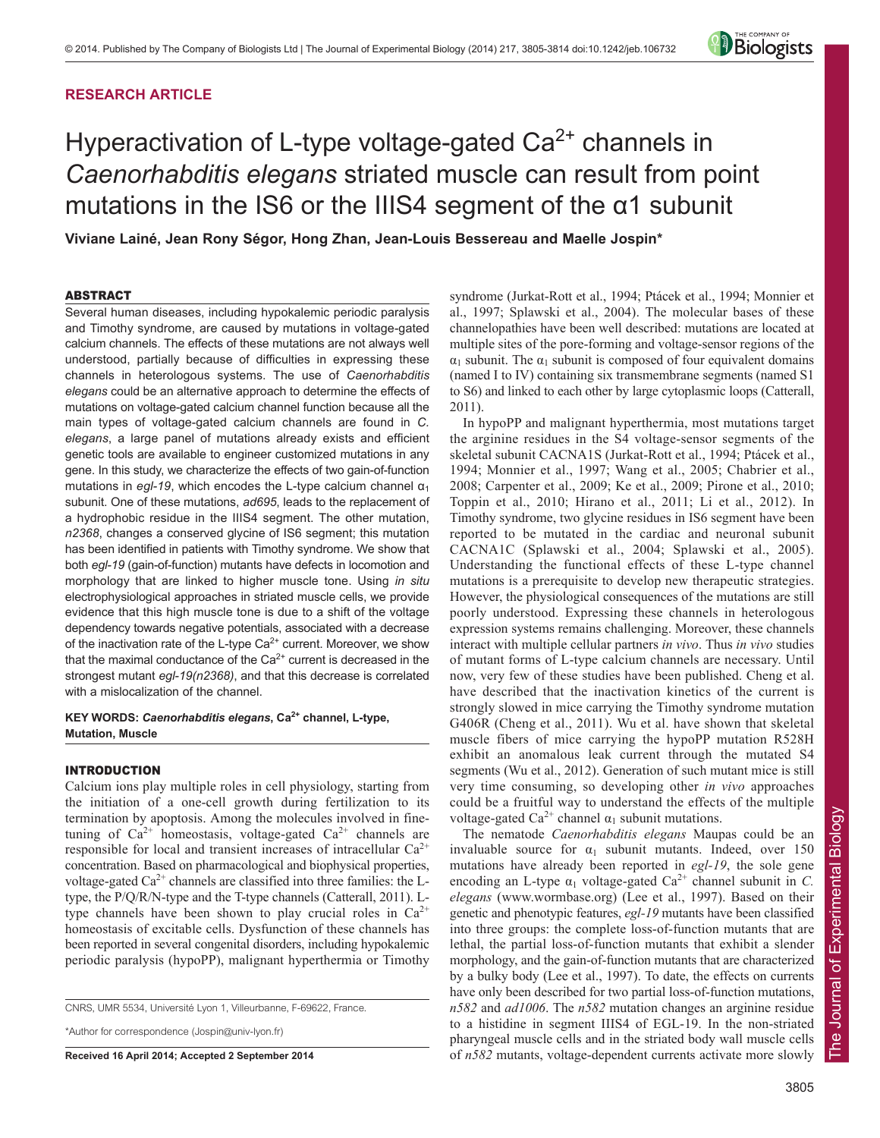# **RESEARCH ARTICLE**



# Hyperactivation of L-type voltage-gated  $Ca<sup>2+</sup>$  channels in *Caenorhabditis elegans* striated muscle can result from point mutations in the IS6 or the IIIS4 segment of the  $\alpha$ 1 subunit

**Viviane Lainé, Jean Rony Ségor, Hong Zhan, Jean-Louis Bessereau and Maelle Jospin\***

## ABSTRACT

Several human diseases, including hypokalemic periodic paralysis and Timothy syndrome, are caused by mutations in voltage-gated calcium channels. The effects of these mutations are not always well understood, partially because of difficulties in expressing these channels in heterologous systems. The use of *Caenorhabditis elegans* could be an alternative approach to determine the effects of mutations on voltage-gated calcium channel function because all the main types of voltage-gated calcium channels are found in *C. elegans*, a large panel of mutations already exists and efficient genetic tools are available to engineer customized mutations in any gene. In this study, we characterize the effects of two gain-of-function mutations in *egl-19*, which encodes the L-type calcium channel  $\alpha_1$ subunit. One of these mutations, *ad695*, leads to the replacement of a hydrophobic residue in the IIIS4 segment. The other mutation, *n2368*, changes a conserved glycine of IS6 segment; this mutation has been identified in patients with Timothy syndrome. We show that both *egl-19* (gain-of-function) mutants have defects in locomotion and morphology that are linked to higher muscle tone. Using *in situ* electrophysiological approaches in striated muscle cells, we provide evidence that this high muscle tone is due to a shift of the voltage dependency towards negative potentials, associated with a decrease of the inactivation rate of the L-type  $Ca^{2+}$  current. Moreover, we show that the maximal conductance of the  $Ca<sup>2+</sup>$  current is decreased in the strongest mutant *egl-19(n2368)*, and that this decrease is correlated with a mislocalization of the channel.

**KEY WORDS:** *Caenorhabditis elegans***, Ca2+ channel, L-type, Mutation, Muscle**

## INTRODUCTION

Calcium ions play multiple roles in cell physiology, starting from the initiation of a one-cell growth during fertilization to its termination by apoptosis. Among the molecules involved in finetuning of  $Ca^{2+}$  homeostasis, voltage-gated  $Ca^{2+}$  channels are responsible for local and transient increases of intracellular  $Ca^{2+}$ concentration. Based on pharmacological and biophysical properties, voltage-gated  $Ca^{2+}$  channels are classified into three families: the Ltype, the P/Q/R/N-type and the T-type channels (Catterall, 2011). Ltype channels have been shown to play crucial roles in  $Ca^{2+}$ homeostasis of excitable cells. Dysfunction of these channels has been reported in several congenital disorders, including hypokalemic periodic paralysis (hypoPP), malignant hyperthermia or Timothy

\*Author for correspondence (Jospin@univ-lyon.fr)

**Received 16 April 2014; Accepted 2 September 2014**

syndrome (Jurkat-Rott et al., 1994; Ptácek et al., 1994; Monnier et al., 1997; Splawski et al., 2004). The molecular bases of these channelopathies have been well described: mutations are located at multiple sites of the pore-forming and voltage-sensor regions of the  $\alpha_1$  subunit. The  $\alpha_1$  subunit is composed of four equivalent domains (named I to IV) containing six transmembrane segments (named S1 to S6) and linked to each other by large cytoplasmic loops (Catterall, 2011).

In hypoPP and malignant hyperthermia, most mutations target the arginine residues in the S4 voltage-sensor segments of the skeletal subunit CACNA1S (Jurkat-Rott et al., 1994; Ptácek et al., 1994; Monnier et al., 1997; Wang et al., 2005; Chabrier et al., 2008; Carpenter et al., 2009; Ke et al., 2009; Pirone et al., 2010; Toppin et al., 2010; Hirano et al., 2011; Li et al., 2012). In Timothy syndrome, two glycine residues in IS6 segment have been reported to be mutated in the cardiac and neuronal subunit CACNA1C (Splawski et al., 2004; Splawski et al., 2005). Understanding the functional effects of these L-type channel mutations is a prerequisite to develop new therapeutic strategies. However, the physiological consequences of the mutations are still poorly understood. Expressing these channels in heterologous expression systems remains challenging. Moreover, these channels interact with multiple cellular partners *in vivo*. Thus *in vivo* studies of mutant forms of L-type calcium channels are necessary. Until now, very few of these studies have been published. Cheng et al. have described that the inactivation kinetics of the current is strongly slowed in mice carrying the Timothy syndrome mutation G406R (Cheng et al., 2011). Wu et al. have shown that skeletal muscle fibers of mice carrying the hypoPP mutation R528H exhibit an anomalous leak current through the mutated S4 segments (Wu et al., 2012). Generation of such mutant mice is still very time consuming, so developing other *in vivo* approaches could be a fruitful way to understand the effects of the multiple voltage-gated  $Ca^{2+}$  channel  $\alpha_1$  subunit mutations.

The nematode *Caenorhabditis elegans* Maupas could be an invaluable source for  $\alpha_1$  subunit mutants. Indeed, over 150 mutations have already been reported in *egl-19*, the sole gene encoding an L-type  $\alpha_1$  voltage-gated  $Ca^{2+}$  channel subunit in *C*. *elegans* (www.wormbase.org) (Lee et al., 1997). Based on their genetic and phenotypic features, *egl-19* mutants have been classified into three groups: the complete loss-of-function mutants that are lethal, the partial loss-of-function mutants that exhibit a slender morphology, and the gain-of-function mutants that are characterized by a bulky body (Lee et al., 1997). To date, the effects on currents have only been described for two partial loss-of-function mutations, *n582* and *ad1006*. The *n582* mutation changes an arginine residue to a histidine in segment IIIS4 of EGL-19. In the non-striated pharyngeal muscle cells and in the striated body wall muscle cells of *n582* mutants, voltage-dependent currents activate more slowly

CNRS, UMR 5534, Université Lyon 1, Villeurbanne, F-69622, France.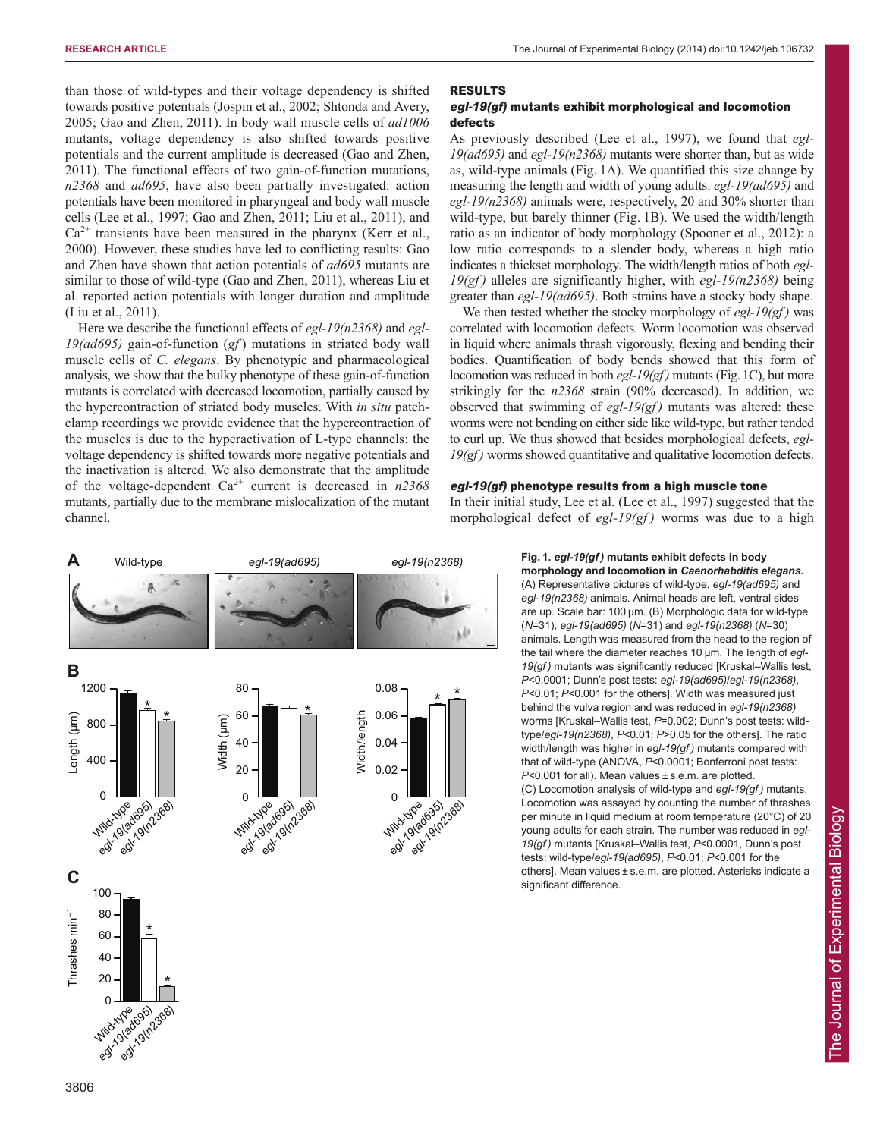than those of wild-types and their voltage dependency is shifted towards positive potentials (Jospin et al., 2002; Shtonda and Avery, 2005; Gao and Zhen, 2011). In body wall muscle cells of *ad1006* mutants, voltage dependency is also shifted towards positive potentials and the current amplitude is decreased (Gao and Zhen, 2011). The functional effects of two gain-of-function mutations, *n2368* and *ad695*, have also been partially investigated: action potentials have been monitored in pharyngeal and body wall muscle cells (Lee et al., 1997; Gao and Zhen, 2011; Liu et al., 2011), and  $Ca^{2+}$  transients have been measured in the pharynx (Kerr et al., 2000). However, these studies have led to conflicting results: Gao and Zhen have shown that action potentials of *ad695* mutants are similar to those of wild-type (Gao and Zhen, 2011), whereas Liu et al. reported action potentials with longer duration and amplitude (Liu et al., 2011).

Here we describe the functional effects of *egl-19(n2368)* and *egl-19(ad695)* gain-of-function (*gf* ) mutations in striated body wall muscle cells of *C. elegans*. By phenotypic and pharmacological analysis, we show that the bulky phenotype of these gain-of-function mutants is correlated with decreased locomotion, partially caused by the hypercontraction of striated body muscles. With *in situ* patchclamp recordings we provide evidence that the hypercontraction of the muscles is due to the hyperactivation of L-type channels: the voltage dependency is shifted towards more negative potentials and the inactivation is altered. We also demonstrate that the amplitude of the voltage-dependent Ca2+ current is decreased in *n2368* mutants, partially due to the membrane mislocalization of the mutant channel.

#### RESULTS

# egl-19(gf) mutants exhibit morphological and locomotion defects

As previously described (Lee et al., 1997), we found that *egl-19(ad695)* and *egl-19(n2368)* mutants were shorter than, but as wide as, wild-type animals (Fig. 1A). We quantified this size change by measuring the length and width of young adults. *egl-19(ad695)* and *egl-19(n2368)* animals were, respectively, 20 and 30% shorter than wild-type, but barely thinner (Fig. 1B). We used the width/length ratio as an indicator of body morphology (Spooner et al., 2012): a low ratio corresponds to a slender body, whereas a high ratio indicates a thickset morphology. The width/length ratios of both *egl-19(gf )* alleles are significantly higher, with *egl-19(n2368)* being greater than *egl-19(ad695)*. Both strains have a stocky body shape.

We then tested whether the stocky morphology of *egl-19(gf )* was correlated with locomotion defects. Worm locomotion was observed in liquid where animals thrash vigorously, flexing and bending their bodies. Quantification of body bends showed that this form of locomotion was reduced in both *egl-19(gf )* mutants (Fig. 1C), but more strikingly for the *n2368* strain (90% decreased). In addition, we observed that swimming of *egl-19(gf )* mutants was altered: these worms were not bending on either side like wild-type, but rather tended to curl up. We thus showed that besides morphological defects, *egl-19(gf )* worms showed quantitative and qualitative locomotion defects.

# egl-19(gf) phenotype results from a high muscle tone

In their initial study, Lee et al. (Lee et al., 1997) suggested that the morphological defect of *egl-19(gf)* worms was due to a high



**Fig. 1.** *egl-19(gf )* **mutants exhibit defects in body**

**morphology and locomotion in** *Caenorhabditis elegans***.** (A) Representative pictures of wild-type, *egl-19(ad695)* and *egl-19(n2368)* animals. Animal heads are left, ventral sides are up. Scale bar: 100 μm. (B) Morphologic data for wild-type (*N*=31), *egl-19(ad695)* (*N*=31) and *egl-19(n2368)* (*N*=30) animals. Length was measured from the head to the region of the tail where the diameter reaches 10 μm. The length of *egl-19(gf )* mutants was significantly reduced [Kruskal–Wallis test, *P*<0.0001; Dunn's post tests: *egl-19(ad695)*/*egl-19(n2368)*, *P*<0.01; *P*<0.001 for the others]. Width was measured just behind the vulva region and was reduced in *egl-19(n2368)* worms [Kruskal–Wallis test, *P*=0.002; Dunn's post tests: wildtype/*egl-19(n2368)*, *P*<0.01; *P*>0.05 for the others]. The ratio width/length was higher in *egl-19(gf )* mutants compared with that of wild-type (ANOVA, *P*<0.0001; Bonferroni post tests: *P*<0.001 for all). Mean values ± s.e.m. are plotted. (C) Locomotion analysis of wild-type and *egl-19(gf )* mutants. Locomotion was assayed by counting the number of thrashes per minute in liquid medium at room temperature (20°C) of 20 young adults for each strain. The number was reduced in *egl-19(gf )* mutants [Kruskal–Wallis test, *P*<0.0001, Dunn's post tests: wild-type/*egl-19(ad695)*, *P*<0.01; *P*<0.001 for the others]. Mean values ± s.e.m. are plotted. Asterisks indicate a significant difference.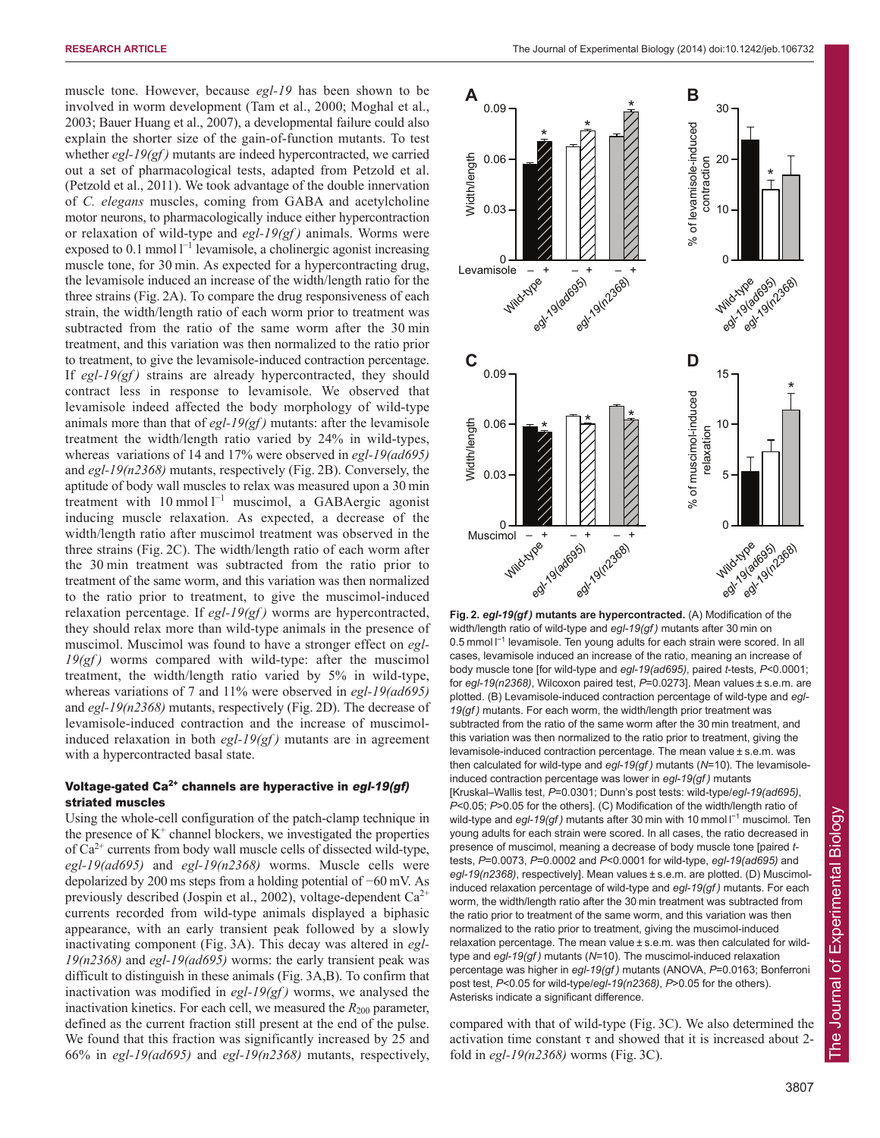muscle tone. However, because *egl-19* has been shown to be involved in worm development (Tam et al., 2000; Moghal et al., 2003; Bauer Huang et al., 2007), a developmental failure could also explain the shorter size of the gain-of-function mutants. To test whether *egl-19(gf)* mutants are indeed hypercontracted, we carried out a set of pharmacological tests, adapted from Petzold et al. (Petzold et al., 2011). We took advantage of the double innervation of *C. elegans* muscles, coming from GABA and acetylcholine motor neurons, to pharmacologically induce either hypercontraction or relaxation of wild-type and *egl-19(gf )* animals. Worms were exposed to  $0.1$  mmol  $I^{-1}$  levamisole, a cholinergic agonist increasing muscle tone, for 30 min. As expected for a hypercontracting drug, the levamisole induced an increase of the width/length ratio for the three strains (Fig. 2A). To compare the drug responsiveness of each strain, the width/length ratio of each worm prior to treatment was subtracted from the ratio of the same worm after the 30 min treatment, and this variation was then normalized to the ratio prior to treatment, to give the levamisole-induced contraction percentage. If *egl-19(gf)* strains are already hypercontracted, they should contract less in response to levamisole. We observed that levamisole indeed affected the body morphology of wild-type animals more than that of *egl-19(gf )* mutants: after the levamisole treatment the width/length ratio varied by 24% in wild-types, whereas variations of 14 and 17% were observed in *egl-19(ad695)* and *egl-19(n2368)* mutants, respectively (Fig. 2B). Conversely, the aptitude of body wall muscles to relax was measured upon a 30 min treatment with  $10 \text{ mmol } l^{-1}$  muscimol, a GABAergic agonist inducing muscle relaxation. As expected, a decrease of the width/length ratio after muscimol treatment was observed in the three strains (Fig. 2C). The width/length ratio of each worm after the 30 min treatment was subtracted from the ratio prior to treatment of the same worm, and this variation was then normalized to the ratio prior to treatment, to give the muscimol-induced relaxation percentage. If *egl-19(gf )* worms are hypercontracted, they should relax more than wild-type animals in the presence of muscimol. Muscimol was found to have a stronger effect on *egl-19(gf)* worms compared with wild-type: after the muscimol treatment, the width/length ratio varied by 5% in wild-type, whereas variations of 7 and 11% were observed in *egl-19(ad695)* and *egl-19(n2368)* mutants, respectively (Fig. 2D). The decrease of levamisole-induced contraction and the increase of muscimolinduced relaxation in both *egl-19(gf )* mutants are in agreement with a hypercontracted basal state.

# Voltage-gated Ca<sup>2+</sup> channels are hyperactive in egl-19(gf) striated muscles

Using the whole-cell configuration of the patch-clamp technique in the presence of  $K^+$  channel blockers, we investigated the properties of  $Ca^{2+}$  currents from body wall muscle cells of dissected wild-type, *egl-19(ad695)* and *egl-19(n2368)* worms. Muscle cells were depolarized by 200 ms steps from a holding potential of −60 mV. As previously described (Jospin et al., 2002), voltage-dependent  $Ca^{2+}$ currents recorded from wild-type animals displayed a biphasic appearance, with an early transient peak followed by a slowly inactivating component (Fig. 3A). This decay was altered in *egl-19(n2368)* and *egl-19(ad695)* worms: the early transient peak was difficult to distinguish in these animals (Fig. 3A,B). To confirm that inactivation was modified in *egl-19(gf )* worms, we analysed the inactivation kinetics. For each cell, we measured the  $R_{200}$  parameter, defined as the current fraction still present at the end of the pulse. We found that this fraction was significantly increased by 25 and 66% in *egl-19(ad695)* and *egl-19(n2368)* mutants, respectively,



**Fig. 2.** *egl-19(gf )* **mutants are hypercontracted.** (A) Modification of the width/length ratio of wild-type and *egl-19(gf )* mutants after 30 min on 0.5 mmol I<sup>-1</sup> levamisole. Ten young adults for each strain were scored. In all cases, levamisole induced an increase of the ratio, meaning an increase of body muscle tone [for wild-type and *egl-19(ad695)*, paired *t*-tests, *P*<0.0001; for *egl-19(n2368)*, Wilcoxon paired test, *P*=0.0273]. Mean values ± s.e.m. are plotted. (B) Levamisole-induced contraction percentage of wild-type and *egl-19(gf )* mutants. For each worm, the width/length prior treatment was subtracted from the ratio of the same worm after the 30 min treatment, and this variation was then normalized to the ratio prior to treatment, giving the levamisole-induced contraction percentage. The mean value ± s.e.m. was then calculated for wild-type and *egl-19(gf )* mutants (*N*=10). The levamisoleinduced contraction percentage was lower in *egl-19(gf )* mutants [Kruskal–Wallis test, *P*=0.0301; Dunn's post tests: wild-type/*egl-19(ad695)*, *P*<0.05; *P*>0.05 for the others]. (C) Modification of the width/length ratio of wild-type and egl-19(gf) mutants after 30 min with 10 mmol l<sup>-1</sup> muscimol. Ten young adults for each strain were scored. In all cases, the ratio decreased in presence of muscimol, meaning a decrease of body muscle tone [paired *t*tests, *P*=0.0073, *P*=0.0002 and *P*<0.0001 for wild-type, *egl-19(ad695)* and *egl-19(n2368)*, respectively]. Mean values ± s.e.m. are plotted. (D) Muscimolinduced relaxation percentage of wild-type and *egl-19(gf )* mutants. For each worm, the width/length ratio after the 30 min treatment was subtracted from the ratio prior to treatment of the same worm, and this variation was then normalized to the ratio prior to treatment, giving the muscimol-induced relaxation percentage. The mean value ± s.e.m. was then calculated for wildtype and *egl-19(gf )* mutants (*N*=10). The muscimol-induced relaxation percentage was higher in *egl-19(gf )* mutants (ANOVA, *P*=0.0163; Bonferroni post test, *P*<0.05 for wild-type/*egl-19(n2368)*, *P*>0.05 for the others). Asterisks indicate a significant difference.

compared with that of wild-type (Fig. 3C). We also determined the activation time constant  $\tau$  and showed that it is increased about 2fold in *egl-19(n2368)* worms (Fig. 3C).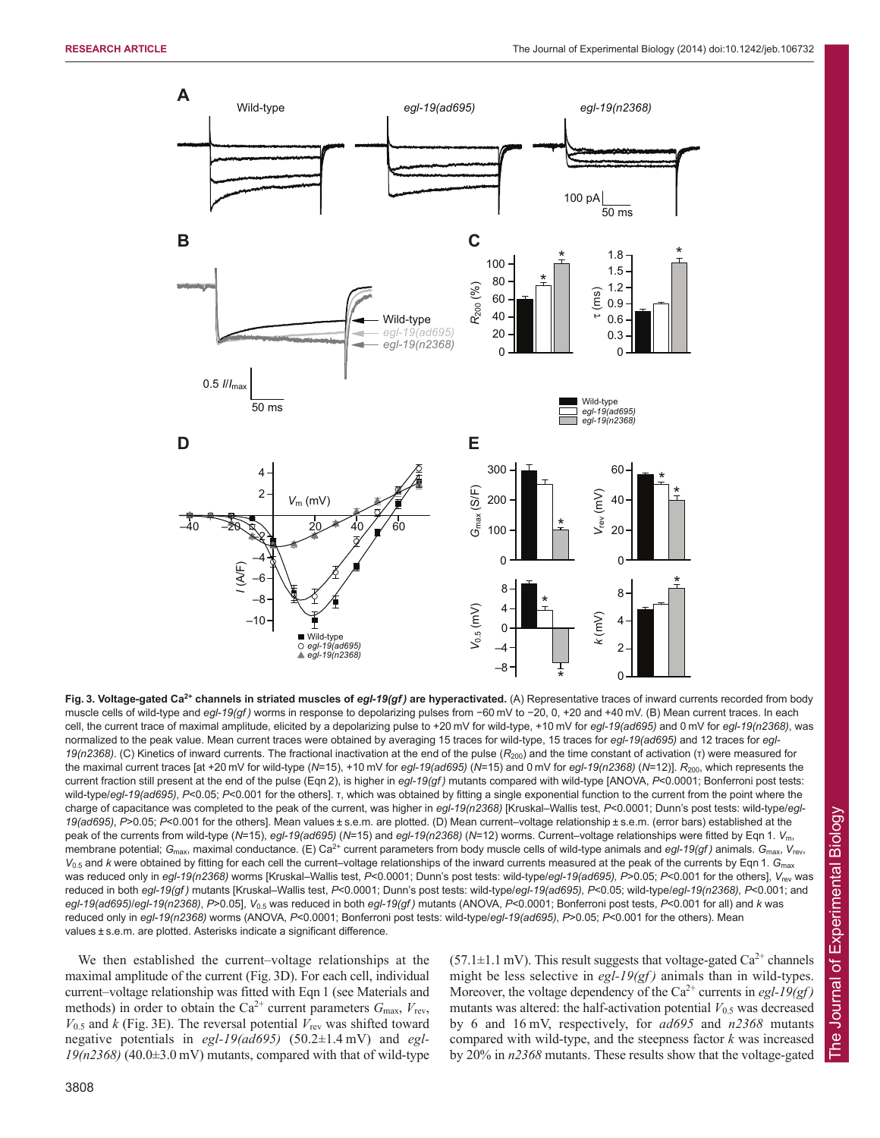

**Fig. 3. Voltage-gated Ca2+ channels in striated muscles of** *egl-19(gf )* **are hyperactivated.** (A) Representative traces of inward currents recorded from body muscle cells of wild-type and *egl-19(gf)* worms in response to depolarizing pulses from -60 mV to -20, 0, +20 and +40 mV. (B) Mean current traces. In each cell, the current trace of maximal amplitude, elicited by a depolarizing pulse to +20 mV for wild-type, +10 mV for *egl-19(ad695)* and 0 mV for *egl-19(n2368)*, was normalized to the peak value. Mean current traces were obtained by averaging 15 traces for wild-type, 15 traces for *egl-19(ad695)* and 12 traces for *egl-19(n2368)*. (C) Kinetics of inward currents. The fractional inactivation at the end of the pulse (*R*200) and the time constant of activation (τ) were measured for the maximal current traces [at +20 mV for wild-type (*N*=15), +10 mV for *egl-19(ad695)* (*N*=15) and 0 mV for *egl-19(n2368)* (*N*=12)]. *R*200, which represents the current fraction still present at the end of the pulse (Eqn 2), is higher in *egl-19(gf )* mutants compared with wild-type [ANOVA, *P*<0.0001; Bonferroni post tests: wild-type/egl-19(ad695), P<0.05; P<0.001 for the others]. τ, which was obtained by fitting a single exponential function to the current from the point where the charge of capacitance was completed to the peak of the current, was higher in *egl-19(n2368)* [Kruskal–Wallis test, *P*<0.0001; Dunn's post tests: wild-type/*egl-19(ad695)*, *P*>0.05; *P*<0.001 for the others]. Mean values ± s.e.m. are plotted. (D) Mean current–voltage relationship ± s.e.m. (error bars) established at the peak of the currents from wild-type (*N*=15), *egl-19(ad695)* (*N*=15) and *egl-19(n2368)* (*N*=12) worms. Current–voltage relationships were fitted by Eqn 1. *V*m, membrane potential; G<sub>max</sub>, maximal conductance. (E) Ca<sup>2+</sup> current parameters from body muscle cells of wild-type animals and *egl-19(gf)* animals. G<sub>max</sub>, V<sub>rev</sub>, *V*0.5 and *k* were obtained by fitting for each cell the current–voltage relationships of the inward currents measured at the peak of the currents by Eqn 1. *G*max was reduced only in *egl-19(n2368)* worms [Kruskal–Wallis test, *P<0.0001*; Dunn's post tests: wild-type/*egl-19(ad695), P>0.05; P<0.001* for the others], V<sub>rev</sub> was reduced in both *egl-19(gf )* mutants [Kruskal–Wallis test, *P*<0.0001; Dunn's post tests: wild-type/*egl-19(ad695), P*<0.05; wild-type/*egl-19(n2368), P*<0.001; and *egl-19(ad695)*/*egl-19(n2368)*, *P*>0.05], *V*0.5 was reduced in both *egl-19(gf )* mutants (ANOVA, *P*<0.0001; Bonferroni post tests, *P*<0.001 for all) and *k* was reduced only in *egl-19(n2368)* worms (ANOVA, P<0.0001; Bonferroni post tests: wild-type/*egl-19(ad695)*, P>0.05; P<0.001 for the others). Mean values ± s.e.m. are plotted. Asterisks indicate a significant difference.

We then established the current–voltage relationships at the maximal amplitude of the current (Fig. 3D). For each cell, individual current–voltage relationship was fitted with Eqn 1 (see Materials and methods) in order to obtain the Ca<sup>2+</sup> current parameters  $G_{\text{max}}$ ,  $V_{\text{rev}}$ ,  $V_{0.5}$  and *k* (Fig. 3E). The reversal potential  $V_{\text{rev}}$  was shifted toward negative potentials in *egl-19(ad695)* (50.2±1.4 mV) and *egl-19(n2368)* (40.0±3.0 mV) mutants, compared with that of wild-type  $(57.1\pm1.1 \,\mathrm{mV})$ . This result suggests that voltage-gated Ca<sup>2+</sup> channels might be less selective in *egl-19(gf)* animals than in wild-types. Moreover, the voltage dependency of the Ca<sup>2+</sup> currents in *egl-19(gf)* mutants was altered: the half-activation potential  $V_{0.5}$  was decreased by 6 and 16 mV, respectively, for *ad695* and *n2368* mutants compared with wild-type, and the steepness factor *k* was increased by 20% in *n2368* mutants. These results show that the voltage-gated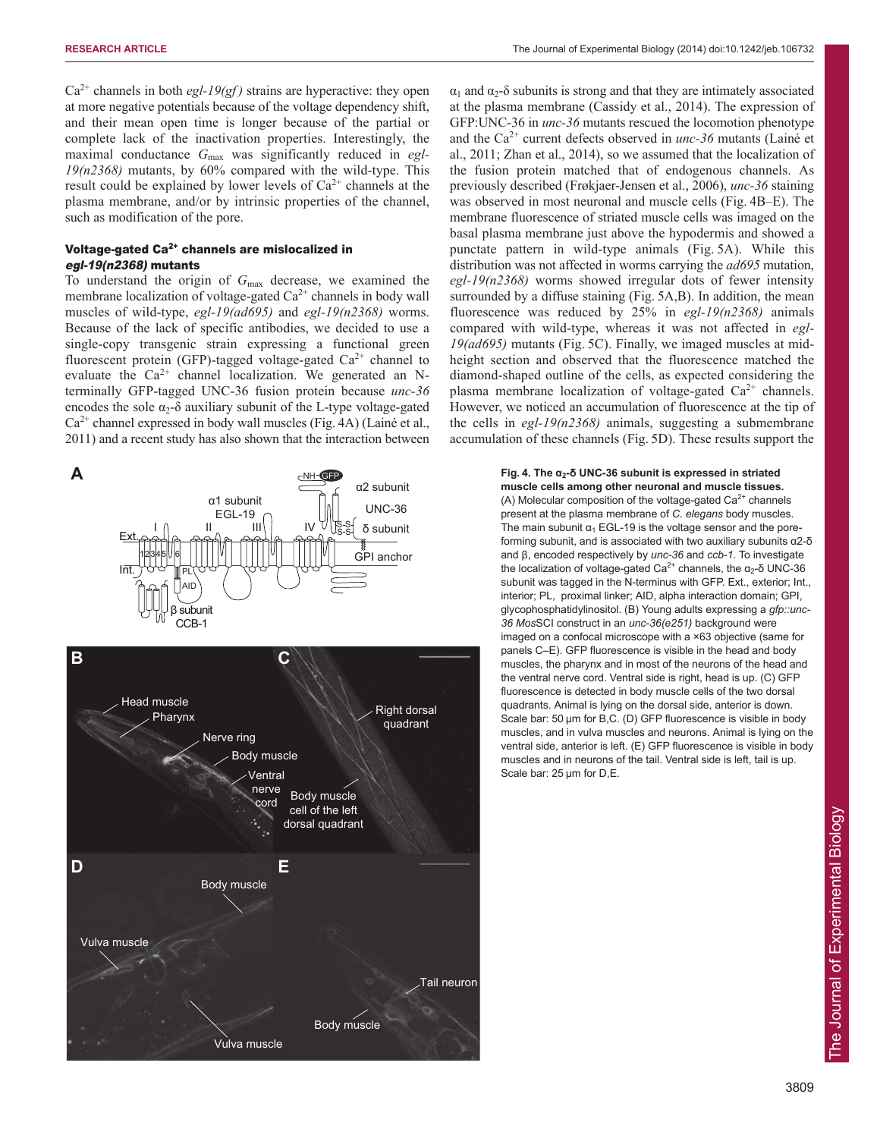$Ca<sup>2+</sup>$  channels in both *egl-19(gf)* strains are hyperactive: they open at more negative potentials because of the voltage dependency shift, and their mean open time is longer because of the partial or complete lack of the inactivation properties. Interestingly, the maximal conductance *G*max was significantly reduced in *egl-19(n2368)* mutants, by 60% compared with the wild-type. This result could be explained by lower levels of  $Ca^{2+}$  channels at the plasma membrane, and/or by intrinsic properties of the channel, such as modification of the pore.

# Voltage-gated  $Ca<sup>2+</sup>$  channels are mislocalized in egl-19(n2368) mutants

To understand the origin of *G*max decrease, we examined the membrane localization of voltage-gated  $Ca<sup>2+</sup>$  channels in body wall muscles of wild-type, *egl-19(ad695)* and *egl-19(n2368)* worms. Because of the lack of specific antibodies, we decided to use a single-copy transgenic strain expressing a functional green fluorescent protein (GFP)-tagged voltage-gated  $Ca^{2+}$  channel to evaluate the  $Ca^{2+}$  channel localization. We generated an Nterminally GFP-tagged UNC-36 fusion protein because *unc-36* encodes the sole  $\alpha_2$ -δ auxiliary subunit of the L-type voltage-gated  $Ca^{2+}$  channel expressed in body wall muscles (Fig. 4A) (Lainé et al., 2011) and a recent study has also shown that the interaction between

AID PL S-S S-S NH GFP I II III IV α1 subunit EGL-19 α2 subunit δ subunit UNC-36 GPI anchor β subunit CCB-1 Ext. Int. 12345 16 Head muscle Pharynx Body muscle Nerve ring Ventral nerve cord Right dorsal quadrant Body muscle cell of the left dorsal quadrant Vulva muscle Body muscle Vulva muscle Body muscle Tail neuron **B C D E**

 $\alpha_1$  and  $\alpha_2$ -δ subunits is strong and that they are intimately associated at the plasma membrane (Cassidy et al., 2014). The expression of GFP:UNC-36 in *unc-36* mutants rescued the locomotion phenotype and the Ca2+ current defects observed in *unc-36* mutants (Lainé et al., 2011; Zhan et al., 2014), so we assumed that the localization of the fusion protein matched that of endogenous channels. As previously described (Frøkjaer-Jensen et al., 2006), *unc-36* staining was observed in most neuronal and muscle cells (Fig. 4B–E). The membrane fluorescence of striated muscle cells was imaged on the basal plasma membrane just above the hypodermis and showed a punctate pattern in wild-type animals (Fig. 5A). While this distribution was not affected in worms carrying the *ad695* mutation, *egl-19(n2368)* worms showed irregular dots of fewer intensity surrounded by a diffuse staining (Fig. 5A,B). In addition, the mean fluorescence was reduced by 25% in *egl-19(n2368)* animals compared with wild-type, whereas it was not affected in *egl-19(ad695)* mutants (Fig. 5C). Finally, we imaged muscles at midheight section and observed that the fluorescence matched the diamond-shaped outline of the cells, as expected considering the plasma membrane localization of voltage-gated  $Ca^{2+}$  channels. However, we noticed an accumulation of fluorescence at the tip of the cells in *egl-19(n2368)* animals, suggesting a submembrane accumulation of these channels (Fig. 5D). These results support the

# **A Fig.** 4. The  $\alpha_2$ - $\delta$  UNC-36 subunit is expressed in striated

**muscle cells among other neuronal and muscle tissues.** (A) Molecular composition of the voltage-gated  $Ca<sup>2+</sup>$  channels present at the plasma membrane of *C. elegans* body muscles. The main subunit  $\alpha_1$  EGL-19 is the voltage sensor and the poreforming subunit, and is associated with two auxiliary subunits α2-δ and β, encoded respectively by *unc-36* and *ccb-1*. To investigate the localization of voltage-gated Ca<sup>2+</sup> channels, the α<sub>2</sub>-δ UNC-36 subunit was tagged in the N-terminus with GFP. Ext., exterior; Int., interior; PL, proximal linker; AID, alpha interaction domain; GPI, glycophosphatidylinositol. (B) Young adults expressing a *gfp::unc-36 Mos*SCI construct in an *unc-36(e251)* background were imaged on a confocal microscope with a ×63 objective (same for panels C–E). GFP fluorescence is visible in the head and body muscles, the pharynx and in most of the neurons of the head and the ventral nerve cord. Ventral side is right, head is up. (C) GFP fluorescence is detected in body muscle cells of the two dorsal quadrants. Animal is lying on the dorsal side, anterior is down. Scale bar: 50 μm for B,C. (D) GFP fluorescence is visible in body muscles, and in vulva muscles and neurons. Animal is lying on the ventral side, anterior is left. (E) GFP fluorescence is visible in body muscles and in neurons of the tail. Ventral side is left, tail is up. Scale bar: 25 μm for D,E.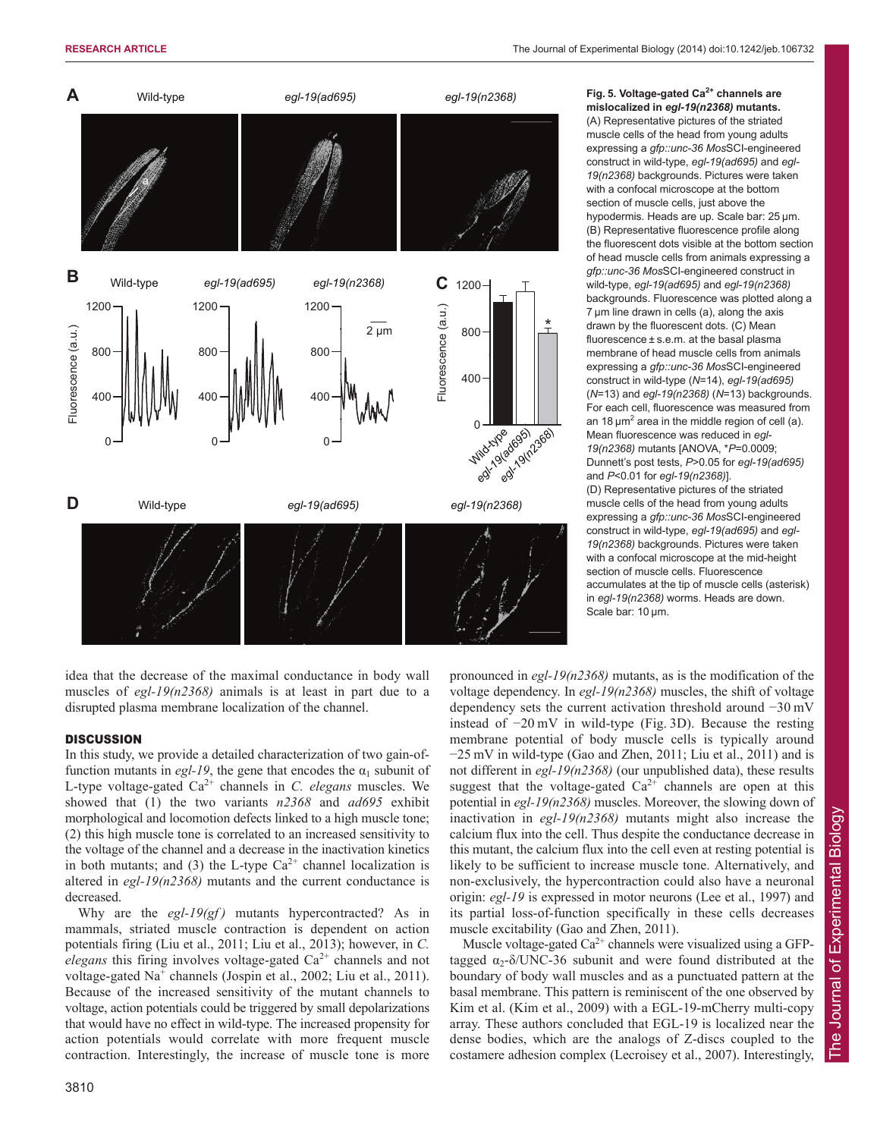

**Fig. 5. Voltage-gated Ca2+ channels are mislocalized in** *egl-19(n2368)* **mutants.**

(A) Representative pictures of the striated muscle cells of the head from young adults expressing a *gfp::unc-36 Mos*SCI-engineered construct in wild-type, *egl-19(ad695)* and *egl-19(n2368)* backgrounds. Pictures were taken with a confocal microscope at the bottom section of muscle cells, just above the hypodermis. Heads are up. Scale bar: 25 μm. (B) Representative fluorescence profile along the fluorescent dots visible at the bottom section of head muscle cells from animals expressing a *gfp::unc-36 Mos*SCI-engineered construct in wild-type, *egl-19(ad695)* and *egl-19(n2368)* backgrounds. Fluorescence was plotted along a 7 μm line drawn in cells (a), along the axis drawn by the fluorescent dots. (C) Mean fluorescence ± s.e.m. at the basal plasma membrane of head muscle cells from animals expressing a *gfp::unc-36 Mos*SCI-engineered construct in wild-type (*N*=14), *egl-19(ad695)* (*N*=13) and *egl-19(n2368)* (*N*=13) backgrounds. For each cell, fluorescence was measured from an 18  $\mu$ m<sup>2</sup> area in the middle region of cell (a). Mean fluorescence was reduced in *egl-19(n2368)* mutants [ANOVA, \**P*=0.0009; Dunnett's post tests, *P*>0.05 for *egl-19(ad695)* and *P*<0.01 for *egl-19(n2368)*]. (D) Representative pictures of the striated muscle cells of the head from young adults expressing a *gfp::unc-36 Mos*SCI-engineered construct in wild-type, *egl-19(ad695)* and *egl-19(n2368)* backgrounds. Pictures were taken with a confocal microscope at the mid-height section of muscle cells. Fluorescence

accumulates at the tip of muscle cells (asterisk) in *egl-19(n2368)* worms. Heads are down. Scale bar: 10  $\mu$ m.

idea that the decrease of the maximal conductance in body wall muscles of *egl-19(n2368)* animals is at least in part due to a disrupted plasma membrane localization of the channel.

# **DISCUSSION**

In this study, we provide a detailed characterization of two gain-offunction mutants in *egl-19*, the gene that encodes the  $\alpha_1$  subunit of L-type voltage-gated  $Ca^{2+}$  channels in *C. elegans* muscles. We showed that (1) the two variants *n2368* and *ad695* exhibit morphological and locomotion defects linked to a high muscle tone; (2) this high muscle tone is correlated to an increased sensitivity to the voltage of the channel and a decrease in the inactivation kinetics in both mutants; and (3) the L-type  $Ca^{2+}$  channel localization is altered in *egl-19(n2368)* mutants and the current conductance is decreased.

Why are the  $egl-19(gf)$  mutants hypercontracted? As in mammals, striated muscle contraction is dependent on action potentials firing (Liu et al., 2011; Liu et al., 2013); however, in *C. elegans* this firing involves voltage-gated  $Ca^{2+}$  channels and not voltage-gated Na<sup>+</sup> channels (Jospin et al., 2002; Liu et al., 2011). Because of the increased sensitivity of the mutant channels to voltage, action potentials could be triggered by small depolarizations that would have no effect in wild-type. The increased propensity for action potentials would correlate with more frequent muscle contraction. Interestingly, the increase of muscle tone is more pronounced in *egl-19(n2368)* mutants, as is the modification of the voltage dependency. In *egl-19(n2368)* muscles, the shift of voltage dependency sets the current activation threshold around −30 mV instead of −20 mV in wild-type (Fig. 3D). Because the resting membrane potential of body muscle cells is typically around −25 mV in wild-type (Gao and Zhen, 2011; Liu et al., 2011) and is not different in *egl-19(n2368)* (our unpublished data), these results suggest that the voltage-gated  $Ca^{2+}$  channels are open at this potential in *egl-19(n2368)* muscles. Moreover, the slowing down of inactivation in *egl-19(n2368)* mutants might also increase the calcium flux into the cell. Thus despite the conductance decrease in this mutant, the calcium flux into the cell even at resting potential is likely to be sufficient to increase muscle tone. Alternatively, and non-exclusively, the hypercontraction could also have a neuronal origin: *egl-19* is expressed in motor neurons (Lee et al., 1997) and its partial loss-of-function specifically in these cells decreases muscle excitability (Gao and Zhen, 2011).

Muscle voltage-gated  $Ca^{2+}$  channels were visualized using a GFPtagged  $\alpha_2$ - $\delta$ /UNC-36 subunit and were found distributed at the boundary of body wall muscles and as a punctuated pattern at the basal membrane. This pattern is reminiscent of the one observed by Kim et al. (Kim et al., 2009) with a EGL-19-mCherry multi-copy array. These authors concluded that EGL-19 is localized near the dense bodies, which are the analogs of Z-discs coupled to the costamere adhesion complex (Lecroisey et al., 2007). Interestingly,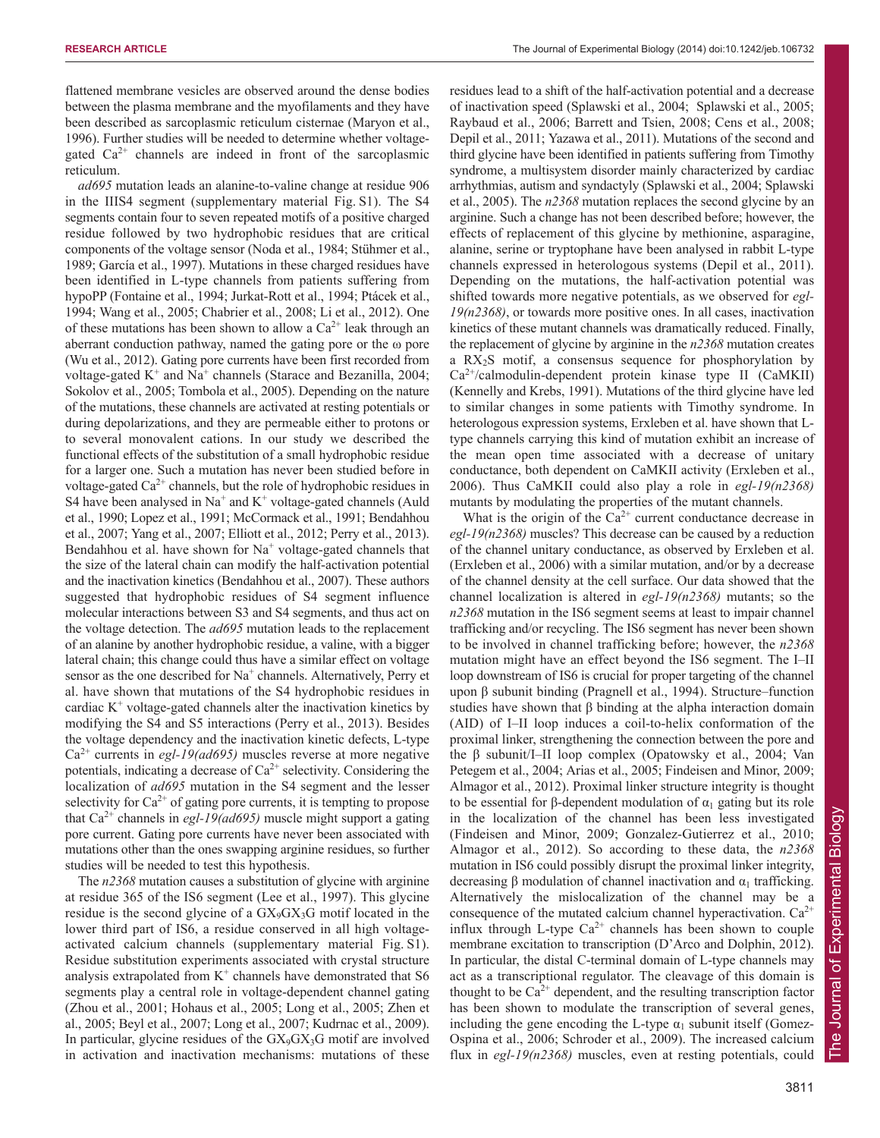flattened membrane vesicles are observed around the dense bodies between the plasma membrane and the myofilaments and they have been described as sarcoplasmic reticulum cisternae (Maryon et al., 1996). Further studies will be needed to determine whether voltagegated  $Ca^{2+}$  channels are indeed in front of the sarcoplasmic reticulum.

*ad695* mutation leads an alanine-to-valine change at residue 906 in the IIIS4 segment (supplementary material Fig. S1). The S4 segments contain four to seven repeated motifs of a positive charged residue followed by two hydrophobic residues that are critical components of the voltage sensor (Noda et al., 1984; Stühmer et al., 1989; García et al., 1997). Mutations in these charged residues have been identified in L-type channels from patients suffering from hypoPP (Fontaine et al., 1994; Jurkat-Rott et al., 1994; Ptácek et al., 1994; Wang et al., 2005; Chabrier et al., 2008; Li et al., 2012). One of these mutations has been shown to allow a  $Ca^{2+}$  leak through an aberrant conduction pathway, named the gating pore or the ω pore (Wu et al., 2012). Gating pore currents have been first recorded from voltage-gated  $K^+$  and  $Na^+$  channels (Starace and Bezanilla, 2004; Sokolov et al., 2005; Tombola et al., 2005). Depending on the nature of the mutations, these channels are activated at resting potentials or during depolarizations, and they are permeable either to protons or to several monovalent cations. In our study we described the functional effects of the substitution of a small hydrophobic residue for a larger one. Such a mutation has never been studied before in voltage-gated  $Ca^{2+}$  channels, but the role of hydrophobic residues in S4 have been analysed in  $Na^+$  and  $K^+$  voltage-gated channels (Auld et al., 1990; Lopez et al., 1991; McCormack et al., 1991; Bendahhou et al., 2007; Yang et al., 2007; Elliott et al., 2012; Perry et al., 2013). Bendahhou et al. have shown for  $Na<sup>+</sup>$  voltage-gated channels that the size of the lateral chain can modify the half-activation potential and the inactivation kinetics (Bendahhou et al., 2007). These authors suggested that hydrophobic residues of S4 segment influence molecular interactions between S3 and S4 segments, and thus act on the voltage detection. The *ad695* mutation leads to the replacement of an alanine by another hydrophobic residue, a valine, with a bigger lateral chain; this change could thus have a similar effect on voltage sensor as the one described for Na<sup>+</sup> channels. Alternatively, Perry et al. have shown that mutations of the S4 hydrophobic residues in cardiac  $K^+$  voltage-gated channels alter the inactivation kinetics by modifying the S4 and S5 interactions (Perry et al., 2013). Besides the voltage dependency and the inactivation kinetic defects, L-type Ca2+ currents in *egl-19(ad695)* muscles reverse at more negative potentials, indicating a decrease of  $Ca^{2+}$  selectivity. Considering the localization of *ad695* mutation in the S4 segment and the lesser selectivity for  $Ca^{2+}$  of gating pore currents, it is tempting to propose that  $Ca^{2+}$  channels in *egl-19(ad695)* muscle might support a gating pore current. Gating pore currents have never been associated with mutations other than the ones swapping arginine residues, so further studies will be needed to test this hypothesis.

The *n2368* mutation causes a substitution of glycine with arginine at residue 365 of the IS6 segment (Lee et al., 1997). This glycine residue is the second glycine of a  $GX_{9}GX_{3}G$  motif located in the lower third part of IS6, a residue conserved in all high voltageactivated calcium channels (supplementary material Fig. S1). Residue substitution experiments associated with crystal structure analysis extrapolated from  $K^+$  channels have demonstrated that S6 segments play a central role in voltage-dependent channel gating (Zhou et al., 2001; Hohaus et al., 2005; Long et al., 2005; Zhen et al., 2005; Beyl et al., 2007; Long et al., 2007; Kudrnac et al., 2009). In particular, glycine residues of the  $GX_{9}GX_{3}G$  motif are involved in activation and inactivation mechanisms: mutations of these

residues lead to a shift of the half-activation potential and a decrease of inactivation speed (Splawski et al., 2004; Splawski et al., 2005; Raybaud et al., 2006; Barrett and Tsien, 2008; Cens et al., 2008; Depil et al., 2011; Yazawa et al., 2011). Mutations of the second and third glycine have been identified in patients suffering from Timothy syndrome, a multisystem disorder mainly characterized by cardiac arrhythmias, autism and syndactyly (Splawski et al., 2004; Splawski et al., 2005). The *n2368* mutation replaces the second glycine by an arginine. Such a change has not been described before; however, the effects of replacement of this glycine by methionine, asparagine, alanine, serine or tryptophane have been analysed in rabbit L-type channels expressed in heterologous systems (Depil et al., 2011). Depending on the mutations, the half-activation potential was shifted towards more negative potentials, as we observed for *egl-19(n2368)*, or towards more positive ones. In all cases, inactivation kinetics of these mutant channels was dramatically reduced. Finally, the replacement of glycine by arginine in the *n2368* mutation creates a  $RX_2S$  motif, a consensus sequence for phosphorylation by Ca2+/calmodulin-dependent protein kinase type II (CaMKII) (Kennelly and Krebs, 1991). Mutations of the third glycine have led to similar changes in some patients with Timothy syndrome. In heterologous expression systems, Erxleben et al. have shown that Ltype channels carrying this kind of mutation exhibit an increase of the mean open time associated with a decrease of unitary conductance, both dependent on CaMKII activity (Erxleben et al., 2006). Thus CaMKII could also play a role in *egl-19(n2368)* mutants by modulating the properties of the mutant channels.

What is the origin of the  $Ca^{2+}$  current conductance decrease in *egl-19(n2368)* muscles? This decrease can be caused by a reduction of the channel unitary conductance, as observed by Erxleben et al. (Erxleben et al., 2006) with a similar mutation, and/or by a decrease of the channel density at the cell surface. Our data showed that the channel localization is altered in *egl-19(n2368)* mutants; so the *n2368* mutation in the IS6 segment seems at least to impair channel trafficking and/or recycling. The IS6 segment has never been shown to be involved in channel trafficking before; however, the *n2368* mutation might have an effect beyond the IS6 segment. The I–II loop downstream of IS6 is crucial for proper targeting of the channel upon β subunit binding (Pragnell et al., 1994). Structure–function studies have shown that  $\beta$  binding at the alpha interaction domain (AID) of I–II loop induces a coil-to-helix conformation of the proximal linker, strengthening the connection between the pore and the β subunit/I–II loop complex (Opatowsky et al., 2004; Van Petegem et al., 2004; Arias et al., 2005; Findeisen and Minor, 2009; Almagor et al., 2012). Proximal linker structure integrity is thought to be essential for β-dependent modulation of  $\alpha_1$  gating but its role in the localization of the channel has been less investigated (Findeisen and Minor, 2009; Gonzalez-Gutierrez et al., 2010; Almagor et al., 2012). So according to these data, the *n2368* mutation in IS6 could possibly disrupt the proximal linker integrity, decreasing β modulation of channel inactivation and  $α_1$  trafficking. Alternatively the mislocalization of the channel may be a consequence of the mutated calcium channel hyperactivation.  $Ca^{2+}$ influx through L-type  $Ca^{2+}$  channels has been shown to couple membrane excitation to transcription (D'Arco and Dolphin, 2012). In particular, the distal C-terminal domain of L-type channels may act as a transcriptional regulator. The cleavage of this domain is thought to be  $Ca^{2+}$  dependent, and the resulting transcription factor has been shown to modulate the transcription of several genes, including the gene encoding the L-type  $\alpha_1$  subunit itself (Gomez-Ospina et al., 2006; Schroder et al., 2009). The increased calcium flux in *egl-19(n2368)* muscles, even at resting potentials, could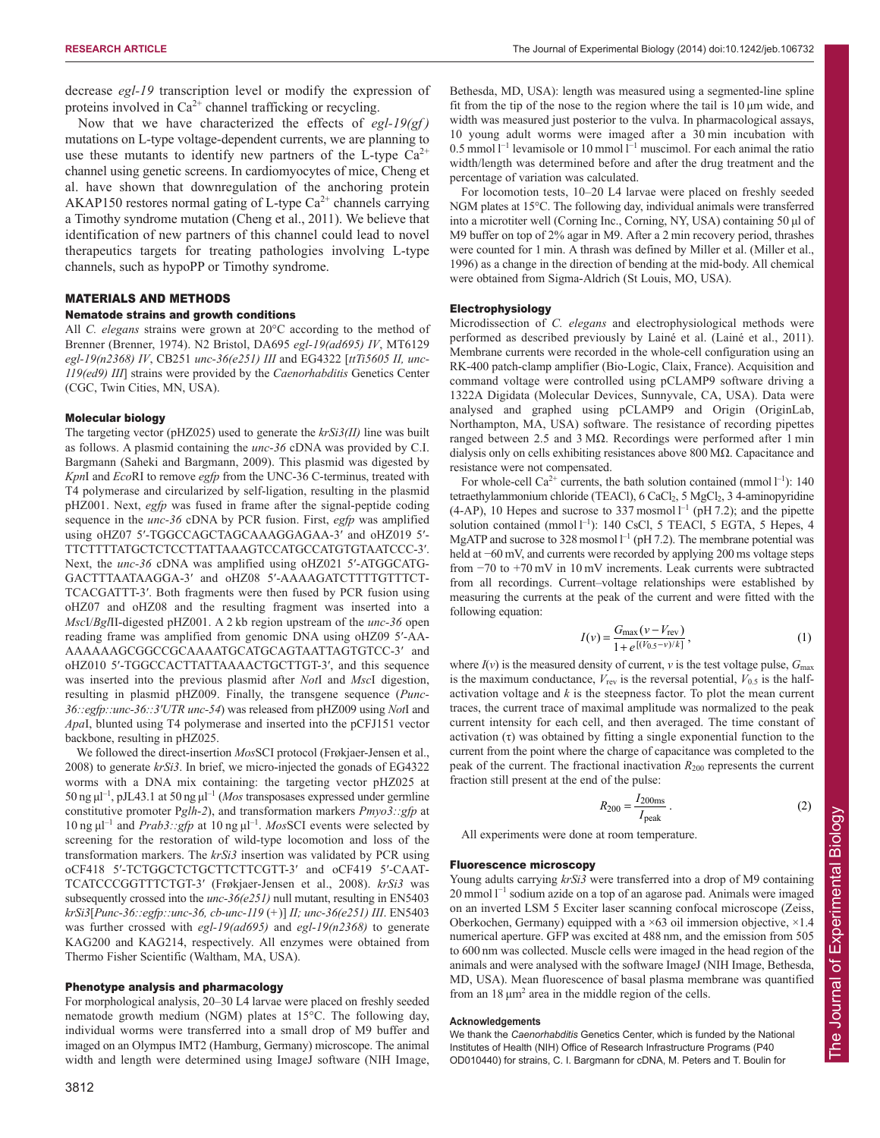decrease *egl-19* transcription level or modify the expression of proteins involved in  $Ca^{2+}$  channel trafficking or recycling.

Now that we have characterized the effects of *egl-19(gf )* mutations on L-type voltage-dependent currents, we are planning to use these mutants to identify new partners of the L-type  $Ca^{2+}$ channel using genetic screens. In cardiomyocytes of mice, Cheng et al. have shown that downregulation of the anchoring protein AKAP150 restores normal gating of L-type  $Ca^{2+}$  channels carrying a Timothy syndrome mutation (Cheng et al., 2011). We believe that identification of new partners of this channel could lead to novel therapeutics targets for treating pathologies involving L-type channels, such as hypoPP or Timothy syndrome.

#### MATERIALS AND METHODS

#### Nematode strains and growth conditions

All *C. elegans* strains were grown at 20°C according to the method of Brenner (Brenner, 1974). N2 Bristol, DA695 *egl-19(ad695) IV*, MT6129 *egl-19(n2368) IV*, CB251 *unc-36(e251) III* and EG4322 [*ttTi5605 II, unc-119(ed9) III*] strains were provided by the *Caenorhabditis* Genetics Center (CGC, Twin Cities, MN, USA).

# Molecular biology

The targeting vector (pHZ025) used to generate the *krSi3(II)* line was built as follows. A plasmid containing the *unc-36* cDNA was provided by C.I. Bargmann (Saheki and Bargmann, 2009). This plasmid was digested by *Kpn*I and *Eco*RI to remove *egfp* from the UNC-36 C-terminus, treated with T4 polymerase and circularized by self-ligation, resulting in the plasmid pHZ001. Next, *egfp* was fused in frame after the signal-peptide coding sequence in the *unc-36* cDNA by PCR fusion. First, *egfp* was amplified using oHZ07 5′-TGGCCAGCTAGCAAAGGAGAA-3′ and oHZ019 5′- TTCTTTTATGCTCTCCTTATTAAAGTCCATGCCATGTGTAATCCC-3′. Next, the *unc-36* cDNA was amplified using oHZ021 5'-ATGGCATG-GACTTTAATAAGGA-3′ and oHZ08 5′-AAAAGATCTTTTGTTTCT - TCACGATTT-3′. Both fragments were then fused by PCR fusion using oHZ07 and oHZ08 and the resulting fragment was inserted into a *Msc*I/*Bgl*II-digested pHZ001. A 2 kb region upstream of the *unc-36* open reading frame was amplified from genomic DNA using oHZ09 5′-AA - AAAAAAGCGGCCGCAAAATGCATGCAGTAATTAGTGTCC-3′ and oHZ010 5′-TGGCCACTTATTAAAACTGCTTGT-3′, and this sequence was inserted into the previous plasmid after *Not*I and *Msc*I digestion, resulting in plasmid pHZ009. Finally, the transgene sequence (*Punc-36::egfp::unc-36::3′UTR unc-54*) was released from pHZ009 using *Not*I and *Apa*I, blunted using T4 polymerase and inserted into the pCFJ151 vector backbone, resulting in pHZ025.

We followed the direct-insertion *Mos*SCI protocol (Frøkjaer-Jensen et al., 2008) to generate *krSi3*. In brief, we micro-injected the gonads of EG4322 worms with a DNA mix containing: the targeting vector pHZ025 at 50 ng $\mu$ l<sup>-1</sup>, pJL43.1 at 50 ng $\mu$ l<sup>-1</sup> (*Mos* transposases expressed under germline constitutive promoter P*glh*-*2*), and transformation markers *Pmyo3::gfp* at  $10$  ng  $\mu$ <sup>-1</sup> and *Prab3::gfp* at 10 ng  $\mu$ <sup>-1</sup>. *MosSCI* events were selected by screening for the restoration of wild-type locomotion and loss of the transformation markers. The *krSi3* insertion was validated by PCR using oCF418 5′-TCTGGCTCTGCTTCTTCGTT-3′ and oCF419 5′-CAAT - TCATCCCGGTTTCTGT-3′ (Frøkjaer-Jensen et al., 2008). *krSi3* was subsequently crossed into the *unc-36(e251)* null mutant, resulting in EN5403 *krSi3*[*Punc-36::egfp::unc-36, cb-unc-119* (*+*)] *II; unc-36(e251) III*. EN5403 was further crossed with *egl-19(ad695)* and *egl-19(n2368)* to generate KAG200 and KAG214, respectively. All enzymes were obtained from Thermo Fisher Scientific (Waltham, MA, USA).

#### Phenotype analysis and pharmacology

For morphological analysis, 20–30 L4 larvae were placed on freshly seeded nematode growth medium (NGM) plates at 15°C. The following day, individual worms were transferred into a small drop of M9 buffer and imaged on an Olympus IMT2 (Hamburg, Germany) microscope. The animal width and length were determined using ImageJ software (NIH Image, Bethesda, MD, USA): length was measured using a segmented-line spline fit from the tip of the nose to the region where the tail is 10 μm wide, and width was measured just posterior to the vulva. In pharmacological assays, 10 young adult worms were imaged after a 30 min incubation with 0.5 mmol l<sup>-1</sup> levamisole or 10 mmol l<sup>-1</sup> muscimol. For each animal the ratio width/length was determined before and after the drug treatment and the percentage of variation was calculated.

For locomotion tests, 10–20 L4 larvae were placed on freshly seeded NGM plates at 15°C. The following day, individual animals were transferred into a microtiter well (Corning Inc., Corning, NY, USA) containing 50 μl of M9 buffer on top of 2% agar in M9. After a 2 min recovery period, thrashes were counted for 1 min. A thrash was defined by Miller et al. (Miller et al., 1996) as a change in the direction of bending at the mid-body. All chemical were obtained from Sigma-Aldrich (St Louis, MO, USA).

#### Electrophysiology

Microdissection of *C. elegans* and electrophysiological methods were performed as described previously by Lainé et al. (Lainé et al., 2011). Membrane currents were recorded in the whole-cell configuration using an RK-400 patch-clamp amplifier (Bio-Logic, Claix, France). Acquisition and command voltage were controlled using pCLAMP9 software driving a 1322A Digidata (Molecular Devices, Sunnyvale, CA, USA). Data were analysed and graphed using pCLAMP9 and Origin (OriginLab, Northampton, MA, USA) software. The resistance of recording pipettes ranged between 2.5 and 3 MΩ. Recordings were performed after 1 min dialysis only on cells exhibiting resistances above 800 MΩ. Capacitance and resistance were not compensated.

For whole-cell Ca<sup>2+</sup> currents, the bath solution contained (mmol  $l^{-1}$ ): 140 tetraethylammonium chloride (TEACl), 6 CaCl<sub>2</sub>, 5 MgCl<sub>2</sub>, 3 4-aminopyridine  $(4-AP)$ , 10 Hepes and sucrose to 337 mosmol  $l^{-1}$  (pH 7.2); and the pipette solution contained (mmol l<sup>-1</sup>): 140 CsCl, 5 TEACl, 5 EGTA, 5 Hepes, 4 MgATP and sucrose to 328 mosmol  $l^{-1}$  (pH 7.2). The membrane potential was held at −60 mV, and currents were recorded by applying 200 ms voltage steps from −70 to +70 mV in 10 mV increments. Leak currents were subtracted from all recordings. Current–voltage relationships were established by measuring the currents at the peak of the current and were fitted with the following equation:

$$
I(v) = \frac{G_{\text{max}}(v - V_{\text{rev}})}{1 + e^{[(V_{0.5} - v)/k]}},
$$
\n(1)

where  $I(v)$  is the measured density of current, *v* is the test voltage pulse,  $G_{\text{max}}$ is the maximum conductance,  $V_{\text{rev}}$  is the reversal potential,  $V_{0.5}$  is the halfactivation voltage and *k* is the steepness factor. To plot the mean current traces, the current trace of maximal amplitude was normalized to the peak current intensity for each cell, and then averaged. The time constant of activation (τ) was obtained by fitting a single exponential function to the current from the point where the charge of capacitance was completed to the peak of the current. The fractional inactivation  $R_{200}$  represents the current fraction still present at the end of the pulse:

$$
R_{200} = \frac{I_{200\text{ms}}}{I_{\text{peak}}} \,. \tag{2}
$$

All experiments were done at room temperature.

#### Fluorescence microscopy

Young adults carrying  $krSi3$  were transferred into a drop of M9 containing 20 mmol l<sup>-1</sup> sodium azide on a top of an agarose pad. Animals were imaged on an inverted LSM 5 Exciter laser scanning confocal microscope (Zeiss, Oberkochen, Germany) equipped with a ×63 oil immersion objective, ×1.4 numerical aperture. GFP was excited at 488 nm, and the emission from 505 to 600 nm was collected. Muscle cells were imaged in the head region of the animals and were analysed with the software ImageJ (NIH Image, Bethesda, MD, USA). Mean fluorescence of basal plasma membrane was quantified from an  $18 \mu m^2$  area in the middle region of the cells.

#### **Acknowledgements**

We thank the *Caenorhabditis* Genetics Center, which is funded by the National Institutes of Health (NIH) Office of Research Infrastructure Programs (P40 OD010440) for strains, C. I. Bargmann for cDNA, M. Peters and T. Boulin for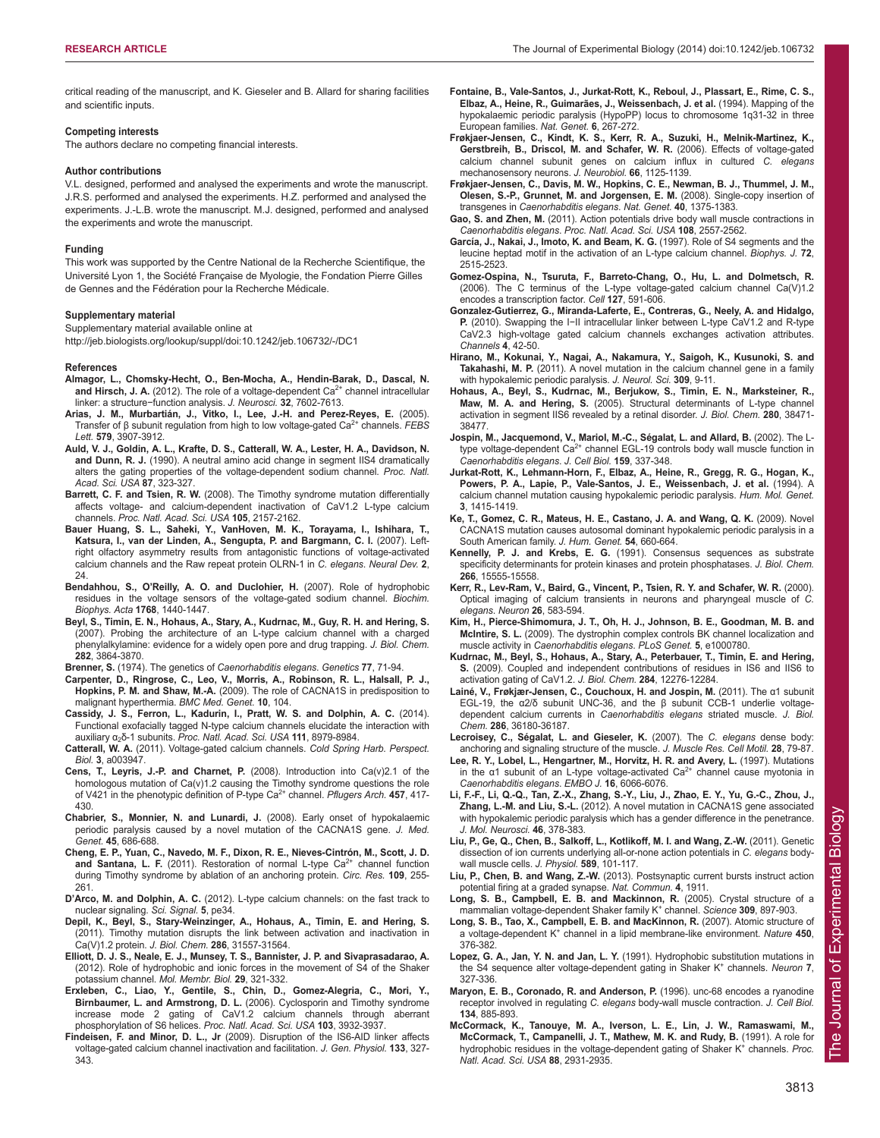critical reading of the manuscript, and K. Gieseler and B. Allard for sharing facilities and scientific inputs.

#### **Competing interests**

The authors declare no competing financial interests.

#### **Author contributions**

V.L. designed, performed and analysed the experiments and wrote the manuscript. J.R.S. performed and analysed the experiments. H.Z. performed and analysed the experiments. J.-L.B. wrote the manuscript. M.J. designed, performed and analysed the experiments and wrote the manuscript.

#### **Funding**

This work was supported by the Centre National de la Recherche Scientifique, the Université Lyon 1, the Société Française de Myologie, the Fondation Pierre Gilles de Gennes and the Fédération pour la Recherche Médicale.

#### **Supplementary material**

Supplementary material available online at

http://jeb.biologists.org/lookup/suppl/doi:10.1242/jeb.106732/-/DC1

#### **References**

- **Almagor, L., Chomsky-Hecht, O., Ben-Mocha, A., Hendin-Barak, D., Dascal, N.** and Hirsch, J. A. (2012). The role of a voltage-dependent Ca<sup>2+</sup> channel intracellular linker: a structure−function analysis. *J. Neurosci.* **32**, 7602-7613.
- **Arias, J. M., Murbartián, J., Vitko, I., Lee, J.-H. and Perez-Reyes, E.** (2005). Transfer of β subunit regulation from high to low voltage-gated Ca2+ channels. *FEBS Lett.* **579**, 3907-3912.
- **Auld, V. J., Goldin, A. L., Krafte, D. S., Catterall, W. A., Lester, H. A., Davidson, N. and Dunn, R. J.** (1990). A neutral amino acid change in segment IIS4 dramatically alters the gating properties of the voltage-dependent sodium channel. *Proc. Natl. Acad. Sci. USA* **87**, 323-327.
- **Barrett, C. F. and Tsien, R. W.** (2008). The Timothy syndrome mutation differentially affects voltage- and calcium-dependent inactivation of CaV1.2 L-type calcium channels. *Proc. Natl. Acad. Sci. USA* **105**, 2157-2162.
- **Bauer Huang, S. L., Saheki, Y., VanHoven, M. K., Torayama, I., Ishihara, T., Katsura, I., van der Linden, A., Sengupta, P. and Bargmann, C. I.** (2007). Leftright olfactory asymmetry results from antagonistic functions of voltage-activated calcium channels and the Raw repeat protein OLRN-1 in *C. elegans*. *Neural Dev.* **2**, 24.
- **Bendahhou, S., O'Reilly, A. O. and Duclohier, H.** (2007). Role of hydrophobic residues in the voltage sensors of the voltage-gated sodium channel. *Biochim. Biophys. Acta* **1768**, 1440-1447.
- **Beyl, S., Timin, E. N., Hohaus, A., Stary, A., Kudrnac, M., Guy, R. H. and Hering, S.** (2007). Probing the architecture of an L-type calcium channel with a charged phenylalkylamine: evidence for a widely open pore and drug trapping. *J. Biol. Chem.* **282**, 3864-3870.

**Brenner, S.** (1974). The genetics of *Caenorhabditis elegans*. *Genetics* **77**, 71-94.

- **Carpenter, D., Ringrose, C., Leo, V., Morris, A., Robinson, R. L., Halsall, P. J., Hopkins, P. M. and Shaw, M.-A.** (2009). The role of CACNA1S in predisposition to malignant hyperthermia. *BMC Med. Genet.* **10**, 104.
- **Cassidy, J. S., Ferron, L., Kadurin, I., Pratt, W. S. and Dolphin, A. C.** (2014). Functional exofacially tagged N-type calcium channels elucidate the interaction with auxiliary α2δ-1 subunits. *Proc. Natl. Acad. Sci. USA* **111**, 8979-8984.
- **Catterall, W. A.** (2011). Voltage-gated calcium channels. *Cold Spring Harb. Perspect. Biol.* **3**, a003947.
- **Cens, T., Leyris, J.-P. and Charnet, P.** (2008). Introduction into Ca(v)2.1 of the homologous mutation of Ca(v)1.2 causing the Timothy syndrome questions the role of V421 in the phenotypic definition of P-type Ca2+ channel. *Pflugers Arch.* **457**, 417- 430.
- **Chabrier, S., Monnier, N. and Lunardi, J.** (2008). Early onset of hypokalaemic periodic paralysis caused by a novel mutation of the CACNA1S gene. *J. Med. Genet.* **45**, 686-688.
- **Cheng, E. P., Yuan, C., Navedo, M. F., Dixon, R. E., Nieves-Cintrón, M., Scott, J. D.** and Santana, L. F. (2011). Restoration of normal L-type Ca<sup>2+</sup> channel function during Timothy syndrome by ablation of an anchoring protein. *Circ. Res.* **109**, 255- 261.
- **D'Arco, M. and Dolphin, A. C.** (2012). L-type calcium channels: on the fast track to nuclear signaling. *Sci. Signal.* **5**, pe34.
- **Depil, K., Beyl, S., Stary-Weinzinger, A., Hohaus, A., Timin, E. and Hering, S.** (2011). Timothy mutation disrupts the link between activation and inactivation in Ca(V)1.2 protein. *J. Biol. Chem.* **286**, 31557-31564.
- **Elliott, D. J. S., Neale, E. J., Munsey, T. S., Bannister, J. P. and Sivaprasadarao, A.** (2012). Role of hydrophobic and ionic forces in the movement of S4 of the Shaker potassium channel. *Mol. Membr. Biol.* **29**, 321-332.
- **Erxleben, C., Liao, Y., Gentile, S., Chin, D., Gomez-Alegria, C., Mori, Y., Birnbaumer, L. and Armstrong, D. L.** (2006). Cyclosporin and Timothy syndrome increase mode 2 gating of CaV1.2 calcium channels through aberrant phosphorylation of S6 helices. *Proc. Natl. Acad. Sci. USA* **103**, 3932-3937.
- **Findeisen, F. and Minor, D. L., Jr** (2009). Disruption of the IS6-AID linker affects voltage-gated calcium channel inactivation and facilitation. *J. Gen. Physiol.* **133**, 327- 343.
- **Fontaine, B., Vale-Santos, J., Jurkat-Rott, K., Reboul, J., Plassart, E., Rime, C. S., Elbaz, A., Heine, R., Guimarães, J., Weissenbach, J. et al.** (1994). Mapping of the hypokalaemic periodic paralysis (HypoPP) locus to chromosome 1q31-32 in three European families. *Nat. Genet.* **6**, 267-272.
- **Frøkjaer-Jensen, C., Kindt, K. S., Kerr, R. A., Suzuki, H., Melnik-Martinez, K., Gerstbreih, B., Driscol, M. and Schafer, W. R.** (2006). Effects of voltage-gated calcium channel subunit genes on calcium influx in cultured *C. elegans* mechanosensory neurons. *J. Neurobiol.* **66**, 1125-1139.
- **Frøkjaer-Jensen, C., Davis, M. W., Hopkins, C. E., Newman, B. J., Thummel, J. M., Olesen, S.-P., Grunnet, M. and Jorgensen, E. M.** (2008). Single-copy insertion of transgenes in *Caenorhabditis elegans*. *Nat. Genet.* **40**, 1375-1383.
- **Gao, S. and Zhen, M.** (2011). Action potentials drive body wall muscle contractions in *Caenorhabditis elegans*. *Proc. Natl. Acad. Sci. USA* **108**, 2557-2562.
- **García, J., Nakai, J., Imoto, K. and Beam, K. G.** (1997). Role of S4 segments and the leucine heptad motif in the activation of an L-type calcium channel. *Biophys. J.* **72**, 2515-2523.
- **Gomez-Ospina, N., Tsuruta, F., Barreto-Chang, O., Hu, L. and Dolmetsch, R.** (2006). The C terminus of the L-type voltage-gated calcium channel Ca(V)1.2 encodes a transcription factor. *Cell* **127**, 591-606.
- **Gonzalez-Gutierrez, G., Miranda-Laferte, E., Contreras, G., Neely, A. and Hidalgo, P.** (2010). Swapping the I−II intracellular linker between L-type CaV1.2 and R-type CaV2.3 high-voltage gated calcium channels exchanges activation attributes. *Channels* **4**, 42-50.
- **Hirano, M., Kokunai, Y., Nagai, A., Nakamura, Y., Saigoh, K., Kusunoki, S. and Takahashi, M. P.** (2011). A novel mutation in the calcium channel gene in a family with hypokalemic periodic paralysis. *J. Neurol. Sci.* **309**, 9-11.
- **Hohaus, A., Beyl, S., Kudrnac, M., Berjukow, S., Timin, E. N., Marksteiner, R., Maw, M. A. and Hering, S.** (2005). Structural determinants of L-type channel activation in segment IIS6 revealed by a retinal disorder. *J. Biol. Chem.* **280**, 38471- 38477.
- **Jospin, M., Jacquemond, V., Mariol, M.-C., Ségalat, L. and Allard, B.** (2002). The Ltype voltage-dependent Ca<sup>2+</sup> channel EGL-19 controls body wall muscle function in *Caenorhabditis elegans*. *J. Cell Biol.* **159**, 337-348.
- **Jurkat-Rott, K., Lehmann-Horn, F., Elbaz, A., Heine, R., Gregg, R. G., Hogan, K., Powers, P. A., Lapie, P., Vale-Santos, J. E., Weissenbach, J. et al.** (1994). A calcium channel mutation causing hypokalemic periodic paralysis. *Hum. Mol. Genet.* **3**, 1415-1419.
- **Ke, T., Gomez, C. R., Mateus, H. E., Castano, J. A. and Wang, Q. K.** (2009). Novel CACNA1S mutation causes autosomal dominant hypokalemic periodic paralysis in a South American family. *J. Hum. Genet.* **54**, 660-664.
- **Kennelly, P. J. and Krebs, E. G.** (1991). Consensus sequences as substrate specificity determinants for protein kinases and protein phosphatases. *J. Biol. Chem.* **266**, 15555-15558.
- **Kerr, R., Lev-Ram, V., Baird, G., Vincent, P., Tsien, R. Y. and Schafer, W. R.** (2000). Optical imaging of calcium transients in neurons and pharyngeal muscle of *C. elegans*. *Neuron* **26**, 583-594.
- **Kim, H., Pierce-Shimomura, J. T., Oh, H. J., Johnson, B. E., Goodman, M. B. and McIntire, S. L.** (2009). The dystrophin complex controls BK channel localization and muscle activity in *Caenorhabditis elegans*. *PLoS Genet.* **5**, e1000780.
- **Kudrnac, M., Beyl, S., Hohaus, A., Stary, A., Peterbauer, T., Timin, E. and Hering, S.** (2009). Coupled and independent contributions of residues in IS6 and IIS6 to activation gating of CaV1.2. *J. Biol. Chem.* **284**, 12276-12284.
- **Lainé, V., Frøkjær-Jensen, C., Couchoux, H. and Jospin, M.** (2011). The α1 subunit EGL-19, the α2/δ subunit UNC-36, and the β subunit CCB-1 underlie voltagedependent calcium currents in *Caenorhabditis elegans* striated muscle. *J. Biol. Chem.* **286**, 36180-36187.
- **Lecroisey, C., Ségalat, L. and Gieseler, K.** (2007). The *C. elegans* dense body: anchoring and signaling structure of the muscle. *J. Muscle Res. Cell Motil.* **28**, 79-87.
- **Lee, R. Y., Lobel, L., Hengartner, M., Horvitz, H. R. and Avery, L.** (1997). Mutations in the  $\alpha$ 1 subunit of an L-type voltage-activated Ca<sup>2+</sup> channel cause myotonia in *Caenorhabditis elegans*. *EMBO J.* **16**, 6066-6076.
- **Li, F.-F., Li, Q.-Q., Tan, Z.-X., Zhang, S.-Y., Liu, J., Zhao, E. Y., Yu, G.-C., Zhou, J., Zhang, L.-M. and Liu, S.-L.** (2012). A novel mutation in CACNA1S gene associated with hypokalemic periodic paralysis which has a gender difference in the penetrance. *J. Mol. Neurosci.* **46**, 378-383.
- **Liu, P., Ge, Q., Chen, B., Salkoff, L., Kotlikoff, M. I. and Wang, Z.-W.** (2011). Genetic dissection of ion currents underlying all-or-none action potentials in *C. elegans* bodywall muscle cells. *J. Physiol.* **589**, 101-117.
- **Liu, P., Chen, B. and Wang, Z.-W.** (2013). Postsynaptic current bursts instruct action potential firing at a graded synapse. *Nat. Commun.* **4**, 1911.
- **Long, S. B., Campbell, E. B. and Mackinnon, R.** (2005). Crystal structure of a mammalian voltage-dependent Shaker family K+ channel. *Science* **309**, 897-903.
- **Long, S. B., Tao, X., Campbell, E. B. and MacKinnon, R.** (2007). Atomic structure of a voltage-dependent K+ channel in a lipid membrane-like environment. *Nature* **450**, 376-382.
- **Lopez, G. A., Jan, Y. N. and Jan, L. Y.** (1991). Hydrophobic substitution mutations in the S4 sequence alter voltage-dependent gating in Shaker K<sup>+</sup> channels. *Neuron* **7**, 327-336.
- **Maryon, E. B., Coronado, R. and Anderson, P.** (1996). unc-68 encodes a ryanodine receptor involved in regulating *C. elegans* body-wall muscle contraction. *J. Cell Biol.* **134**, 885-893.
- **McCormack, K., Tanouye, M. A., Iverson, L. E., Lin, J. W., Ramaswami, M., McCormack, T., Campanelli, J. T., Mathew, M. K. and Rudy, B.** (1991). A role for hydrophobic residues in the voltage-dependent gating of Shaker K+ channels. *Proc. Natl. Acad. Sci. USA* **88**, 2931-2935.